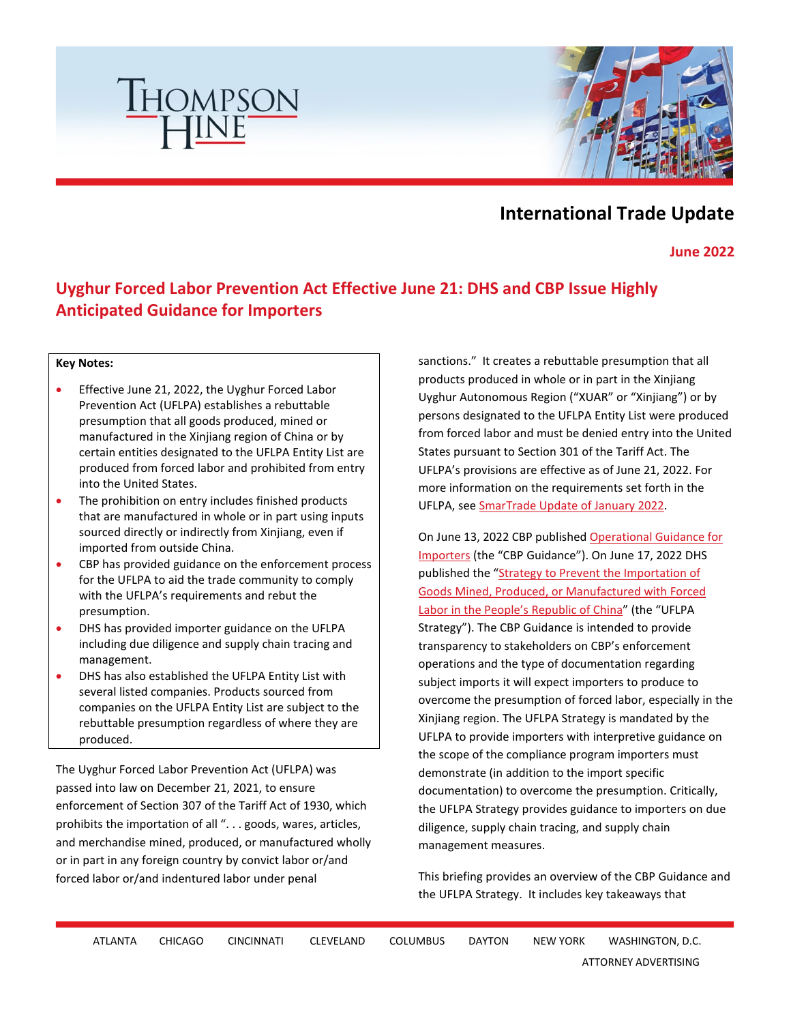



# **International Trade Update**

**June 2022** 

## **Uyghur Forced Labor Prevention Act Effective June 21: DHS and CBP Issue Highly Anticipated Guidance for Importers**

#### **Key Notes:**

- Effective June 21, 2022, the Uyghur Forced Labor Prevention Act (UFLPA) establishes a rebuttable presumption that all goods produced, mined or manufactured in the Xinjiang region of China or by certain entities designated to the UFLPA Entity List are produced from forced labor and prohibited from entry into the United States.
- The prohibition on entry includes finished products that are manufactured in whole or in part using inputs sourced directly or indirectly from Xinjiang, even if imported from outside China.
- CBP has provided guidance on the enforcement process for the UFLPA to aid the trade community to comply with the UFLPA's requirements and rebut the presumption.
- DHS has provided importer guidance on the UFLPA including due diligence and supply chain tracing and management.
- DHS has also established the UFLPA Entity List with several listed companies. Products sourced from companies on the UFLPA Entity List are subject to the rebuttable presumption regardless of where they are produced.

The Uyghur Forced Labor Prevention Act (UFLPA) was passed into law on December 21, 2021, to ensure enforcement of Section 307 of the Tariff Act of 1930, which prohibits the importation of all ". . . goods, wares, articles, and merchandise mined, produced, or manufactured wholly or in part in any foreign country by convict labor or/and forced labor or/and indentured labor under penal

sanctions." It creates a rebuttable presumption that all products produced in whole or in part in the Xinjiang Uyghur Autonomous Region ("XUAR" or "Xinjiang") or by persons designated to the UFLPA Entity List were produced from forced labor and must be denied entry into the United States pursuant to Section 301 of the Tariff Act. The UFLPA's provisions are effective as of June 21, 2022. For more information on the requirements set forth in the UFLPA, see [SmarTrade Update of January 2022.](https://www.thompsonhine.com/publications/biden-signs-uyghur-forced-labor-prevention-act) 

On June 13, 2022 CBP publishe[d Operational Guidance for](https://www.cbp.gov/sites/default/files/assets/documents/2022-Jun/CBP_Guidance_for_Importers_for_UFLPA_13_June_2022.pdf)  [Importers](https://www.cbp.gov/sites/default/files/assets/documents/2022-Jun/CBP_Guidance_for_Importers_for_UFLPA_13_June_2022.pdf) (the "CBP Guidance"). On June 17, 2022 DHS published the "Strategy to Prevent the Importation of [Goods Mined, Produced, or Manufactured with Forced](https://www.dhs.gov/sites/default/files/2022-06/22_0617_fletf_uflpa-strategy.pdf)  [Labor in the People's Republic of China"](https://www.dhs.gov/sites/default/files/2022-06/22_0617_fletf_uflpa-strategy.pdf) (the "UFLPA Strategy"). The CBP Guidance is intended to provide transparency to stakeholders on CBP's enforcement operations and the type of documentation regarding subject imports it will expect importers to produce to overcome the presumption of forced labor, especially in the Xinjiang region. The UFLPA Strategy is mandated by the UFLPA to provide importers with interpretive guidance on the scope of the compliance program importers must demonstrate (in addition to the import specific documentation) to overcome the presumption. Critically, the UFLPA Strategy provides guidance to importers on due diligence, supply chain tracing, and supply chain management measures.

This briefing provides an overview of the CBP Guidance and the UFLPA Strategy. It includes key takeaways that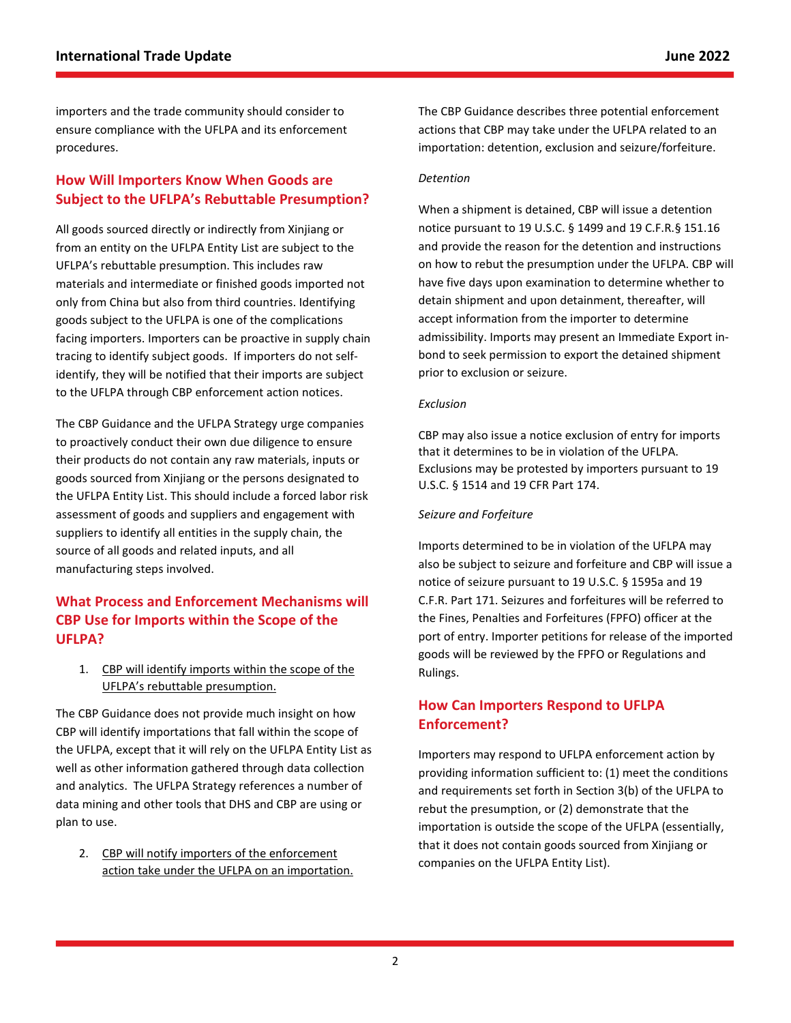importers and the trade community should consider to ensure compliance with the UFLPA and its enforcement procedures.

### **How Will Importers Know When Goods are Subject to the UFLPA's Rebuttable Presumption?**

All goods sourced directly or indirectly from Xinjiang or from an entity on the UFLPA Entity List are subject to the UFLPA's rebuttable presumption. This includes raw materials and intermediate or finished goods imported not only from China but also from third countries. Identifying goods subject to the UFLPA is one of the complications facing importers. Importers can be proactive in supply chain tracing to identify subject goods. If importers do not selfidentify, they will be notified that their imports are subject to the UFLPA through CBP enforcement action notices.

The CBP Guidance and the UFLPA Strategy urge companies to proactively conduct their own due diligence to ensure their products do not contain any raw materials, inputs or goods sourced from Xinjiang or the persons designated to the UFLPA Entity List. This should include a forced labor risk assessment of goods and suppliers and engagement with suppliers to identify all entities in the supply chain, the source of all goods and related inputs, and all manufacturing steps involved.

## **What Process and Enforcement Mechanisms will CBP Use for Imports within the Scope of the UFLPA?**

1. CBP will identify imports within the scope of the UFLPA's rebuttable presumption.

The CBP Guidance does not provide much insight on how CBP will identify importations that fall within the scope of the UFLPA, except that it will rely on the UFLPA Entity List as well as other information gathered through data collection and analytics. The UFLPA Strategy references a number of data mining and other tools that DHS and CBP are using or plan to use.

2. CBP will notify importers of the enforcement action take under the UFLPA on an importation. The CBP Guidance describes three potential enforcement actions that CBP may take under the UFLPA related to an importation: detention, exclusion and seizure/forfeiture.

#### *Detention*

When a shipment is detained, CBP will issue a detention notice pursuant to 19 U.S.C. § 1499 and 19 C.F.R.§ 151.16 and provide the reason for the detention and instructions on how to rebut the presumption under the UFLPA. CBP will have five days upon examination to determine whether to detain shipment and upon detainment, thereafter, will accept information from the importer to determine admissibility. Imports may present an Immediate Export inbond to seek permission to export the detained shipment prior to exclusion or seizure.

#### *Exclusion*

CBP may also issue a notice exclusion of entry for imports that it determines to be in violation of the UFLPA. Exclusions may be protested by importers pursuant to 19 U.S.C. § 1514 and 19 CFR Part 174.

#### *Seizure and Forfeiture*

Imports determined to be in violation of the UFLPA may also be subject to seizure and forfeiture and CBP will issue a notice of seizure pursuant to 19 U.S.C. § 1595a and 19 C.F.R. Part 171. Seizures and forfeitures will be referred to the Fines, Penalties and Forfeitures (FPFO) officer at the port of entry. Importer petitions for release of the imported goods will be reviewed by the FPFO or Regulations and Rulings.

### **How Can Importers Respond to UFLPA Enforcement?**

Importers may respond to UFLPA enforcement action by providing information sufficient to: (1) meet the conditions and requirements set forth in Section 3(b) of the UFLPA to rebut the presumption, or (2) demonstrate that the importation is outside the scope of the UFLPA (essentially, that it does not contain goods sourced from Xinjiang or companies on the UFLPA Entity List).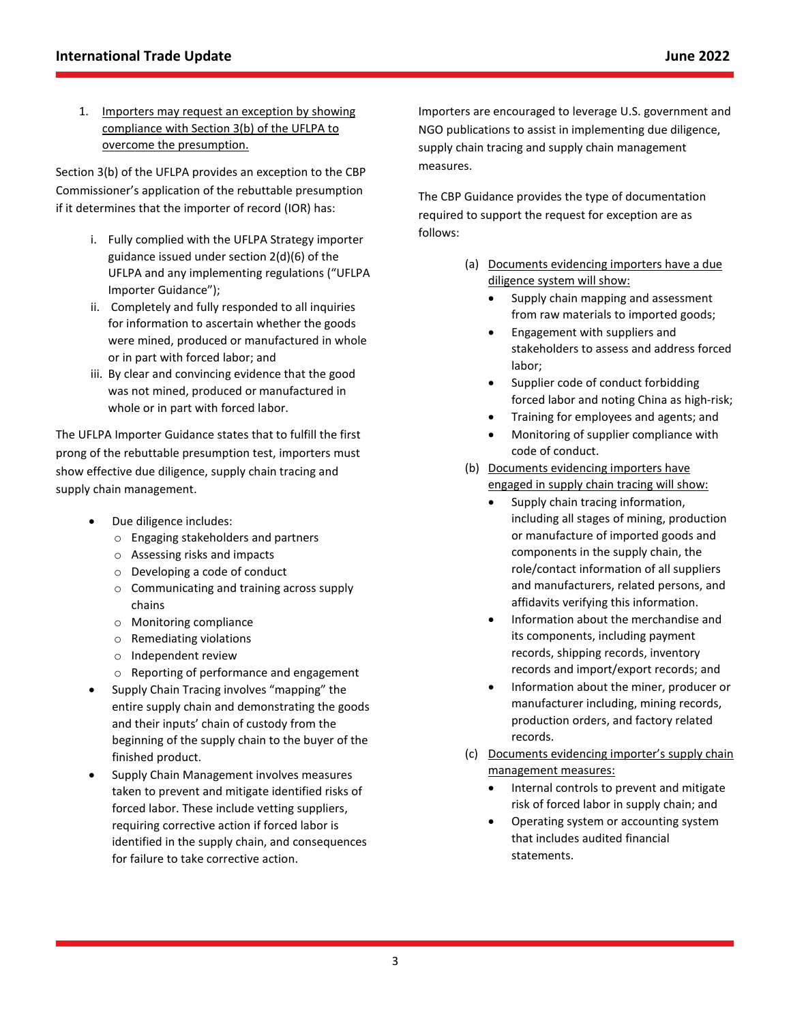1. Importers may request an exception by showing compliance with Section 3(b) of the UFLPA to overcome the presumption.

Section 3(b) of the UFLPA provides an exception to the CBP Commissioner's application of the rebuttable presumption if it determines that the importer of record (IOR) has:

- i. Fully complied with the UFLPA Strategy importer guidance issued under section 2(d)(6) of the UFLPA and any implementing regulations ("UFLPA Importer Guidance");
- ii. Completely and fully responded to all inquiries for information to ascertain whether the goods were mined, produced or manufactured in whole or in part with forced labor; and
- iii. By clear and convincing evidence that the good was not mined, produced or manufactured in whole or in part with forced labor.

The UFLPA Importer Guidance states that to fulfill the first prong of the rebuttable presumption test, importers must show effective due diligence, supply chain tracing and supply chain management.

- Due diligence includes:
	- o Engaging stakeholders and partners
	- o Assessing risks and impacts
	- o Developing a code of conduct
	- o Communicating and training across supply chains
	- o Monitoring compliance
	- o Remediating violations
	- o Independent review
	- o Reporting of performance and engagement
- Supply Chain Tracing involves "mapping" the entire supply chain and demonstrating the goods and their inputs' chain of custody from the beginning of the supply chain to the buyer of the finished product.
- Supply Chain Management involves measures taken to prevent and mitigate identified risks of forced labor. These include vetting suppliers, requiring corrective action if forced labor is identified in the supply chain, and consequences for failure to take corrective action.

Importers are encouraged to leverage U.S. government and NGO publications to assist in implementing due diligence, supply chain tracing and supply chain management measures.

The CBP Guidance provides the type of documentation required to support the request for exception are as follows:

- (a) Documents evidencing importers have a due diligence system will show:
	- Supply chain mapping and assessment from raw materials to imported goods;
	- Engagement with suppliers and stakeholders to assess and address forced labor;
	- Supplier code of conduct forbidding forced labor and noting China as high-risk;
	- Training for employees and agents; and
	- Monitoring of supplier compliance with code of conduct.
- (b) Documents evidencing importers have engaged in supply chain tracing will show:
	- Supply chain tracing information, including all stages of mining, production or manufacture of imported goods and components in the supply chain, the role/contact information of all suppliers and manufacturers, related persons, and affidavits verifying this information.
	- Information about the merchandise and its components, including payment records, shipping records, inventory records and import/export records; and
	- Information about the miner, producer or manufacturer including, mining records, production orders, and factory related records.
- (c) Documents evidencing importer's supply chain management measures:
	- Internal controls to prevent and mitigate risk of forced labor in supply chain; and
	- Operating system or accounting system that includes audited financial statements.